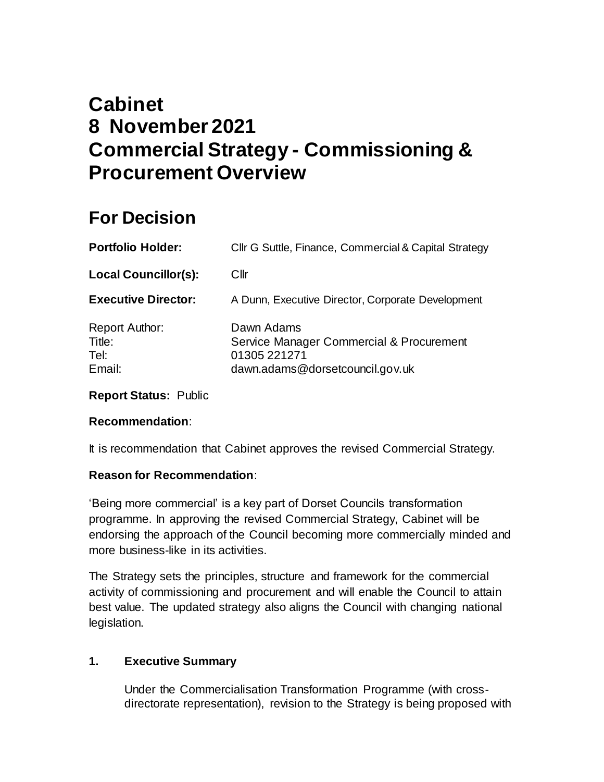# **Cabinet 8 November 2021 Commercial Strategy - Commissioning & Procurement Overview**

# **For Decision**

| <b>Portfolio Holder:</b>                          | Cllr G Suttle, Finance, Commercial & Capital Strategy                                                     |
|---------------------------------------------------|-----------------------------------------------------------------------------------------------------------|
| <b>Local Councillor(s):</b>                       | Cllr                                                                                                      |
| <b>Executive Director:</b>                        | A Dunn, Executive Director, Corporate Development                                                         |
| <b>Report Author:</b><br>Title:<br>Tel:<br>Email: | Dawn Adams<br>Service Manager Commercial & Procurement<br>01305 221271<br>dawn.adams@dorsetcouncil.gov.uk |

**Report Status:** Public

# **Recommendation**:

It is recommendation that Cabinet approves the revised Commercial Strategy.

# **Reason for Recommendation**:

'Being more commercial' is a key part of Dorset Councils transformation programme. In approving the revised Commercial Strategy, Cabinet will be endorsing the approach of the Council becoming more commercially minded and more business-like in its activities.

The Strategy sets the principles, structure and framework for the commercial activity of commissioning and procurement and will enable the Council to attain best value. The updated strategy also aligns the Council with changing national legislation.

# **1. Executive Summary**

Under the Commercialisation Transformation Programme (with crossdirectorate representation), revision to the Strategy is being proposed with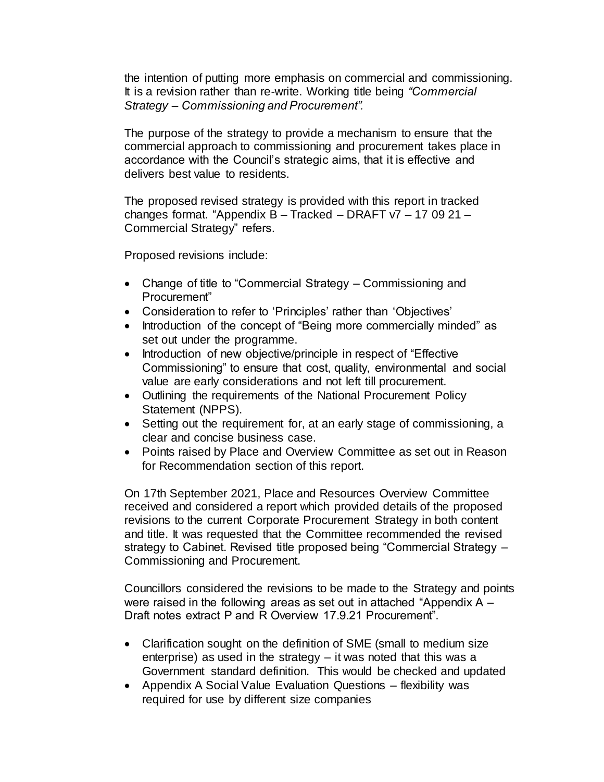the intention of putting more emphasis on commercial and commissioning. It is a revision rather than re-write. Working title being *"Commercial Strategy – Commissioning and Procurement".*

The purpose of the strategy to provide a mechanism to ensure that the commercial approach to commissioning and procurement takes place in accordance with the Council's strategic aims, that it is effective and delivers best value to residents.

The proposed revised strategy is provided with this report in tracked changes format. "Appendix B – Tracked – DRAFT v7 – 17 09 21 – Commercial Strategy" refers.

Proposed revisions include:

- Change of title to "Commercial Strategy Commissioning and Procurement"
- Consideration to refer to 'Principles' rather than 'Objectives'
- Introduction of the concept of "Being more commercially minded" as set out under the programme.
- Introduction of new objective/principle in respect of "Effective" Commissioning" to ensure that cost, quality, environmental and social value are early considerations and not left till procurement.
- Outlining the requirements of the National Procurement Policy Statement (NPPS).
- Setting out the requirement for, at an early stage of commissioning, a clear and concise business case.
- Points raised by Place and Overview Committee as set out in Reason for Recommendation section of this report.

On 17th September 2021, Place and Resources Overview Committee received and considered a report which provided details of the proposed revisions to the current Corporate Procurement Strategy in both content and title. It was requested that the Committee recommended the revised strategy to Cabinet. Revised title proposed being "Commercial Strategy – Commissioning and Procurement.

Councillors considered the revisions to be made to the Strategy and points were raised in the following areas as set out in attached "Appendix A – Draft notes extract P and R Overview 17.9.21 Procurement".

- Clarification sought on the definition of SME (small to medium size enterprise) as used in the strategy – it was noted that this was a Government standard definition. This would be checked and updated
- Appendix A Social Value Evaluation Questions flexibility was required for use by different size companies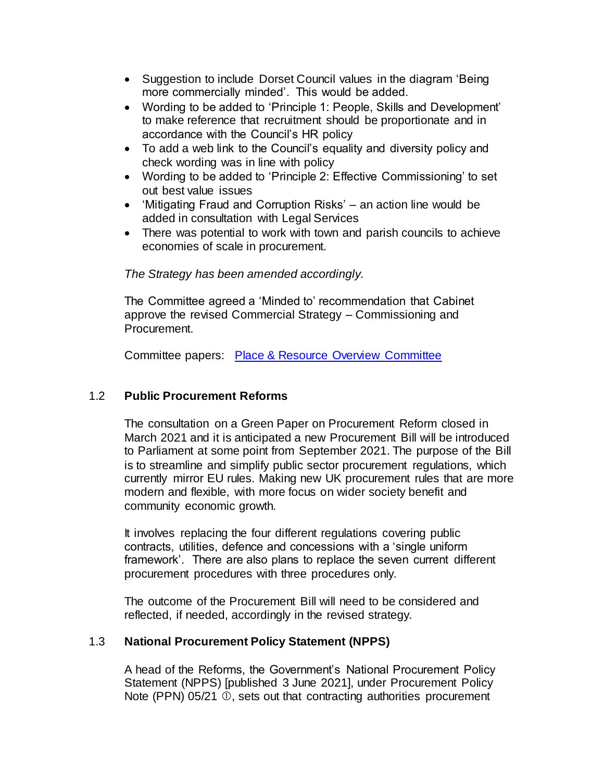- Suggestion to include Dorset Council values in the diagram 'Being more commercially minded'. This would be added.
- Wording to be added to 'Principle 1: People, Skills and Development' to make reference that recruitment should be proportionate and in accordance with the Council's HR policy
- To add a web link to the Council's equality and diversity policy and check wording was in line with policy
- Wording to be added to 'Principle 2: Effective Commissioning' to set out best value issues
- 'Mitigating Fraud and Corruption Risks' an action line would be added in consultation with Legal Services
- There was potential to work with town and parish councils to achieve economies of scale in procurement.

# *The Strategy has been amended accordingly.*

The Committee agreed a 'Minded to' recommendation that Cabinet approve the revised Commercial Strategy – Commissioning and Procurement.

Committee papers: [Place & Resource Overview Committee](file://///DCCFILE/FSCOMMON/Dorset%20Procurement/0%20Cabinet/2021/Cabinet%20-%202%20November%202021%20-%201%20x%20Commercial%20Strategy/Place%20&%20Resource%20Overview%20Committee)

### 1.2 **Public Procurement Reforms**

The consultation on a Green Paper on Procurement Reform closed in March 2021 and it is anticipated a new Procurement Bill will be introduced to Parliament at some point from September 2021. The purpose of the Bill is to streamline and simplify public sector procurement regulations, which currently mirror EU rules. Making new UK procurement rules that are more modern and flexible, with more focus on wider society benefit and community economic growth.

It involves replacing the four different regulations covering public contracts, utilities, defence and concessions with a 'single uniform framework'. There are also plans to replace the seven current different procurement procedures with three procedures only.

The outcome of the Procurement Bill will need to be considered and reflected, if needed, accordingly in the revised strategy.

#### 1.3 **National Procurement Policy Statement (NPPS)**

A head of the Reforms, the Government's National Procurement Policy Statement (NPPS) [published 3 June 2021], under Procurement Policy Note (PPN)  $05/21$   $\odot$ , sets out that contracting authorities procurement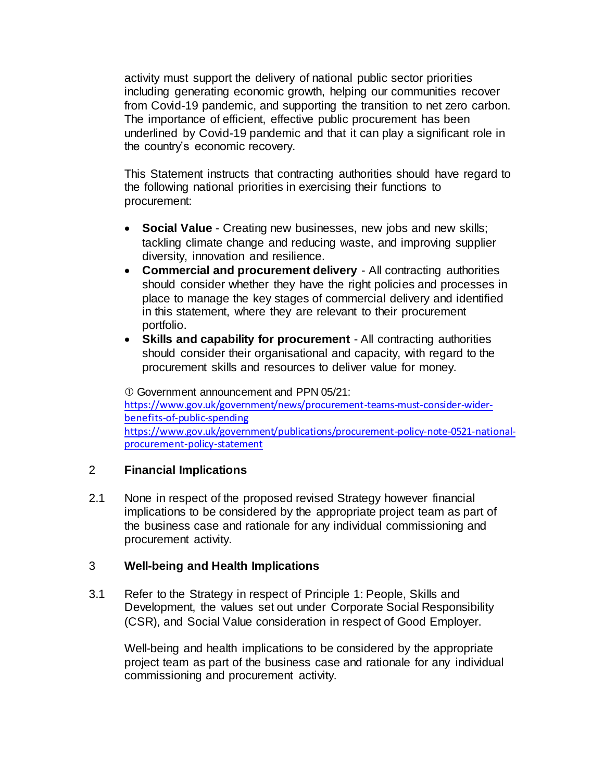activity must support the delivery of national public sector priorities including generating economic growth, helping our communities recover from Covid-19 pandemic, and supporting the transition to net zero carbon. The importance of efficient, effective public procurement has been underlined by Covid-19 pandemic and that it can play a significant role in the country's economic recovery.

This Statement instructs that contracting authorities should have regard to the following national priorities in exercising their functions to procurement:

- **Social Value** Creating new businesses, new jobs and new skills; tackling climate change and reducing waste, and improving supplier diversity, innovation and resilience.
- **Commercial and procurement delivery** All contracting authorities should consider whether they have the right policies and processes in place to manage the key stages of commercial delivery and identified in this statement, where they are relevant to their procurement portfolio.
- **Skills and capability for procurement** All contracting authorities should consider their organisational and capacity, with regard to the procurement skills and resources to deliver value for money.

 Government announcement and PPN 05/21: [https://www.gov.uk/government/news/procurement-teams-must-consider-wider](https://www.gov.uk/government/news/procurement-teams-must-consider-wider-benefits-of-public-spending)[benefits-of-public-spending](https://www.gov.uk/government/news/procurement-teams-must-consider-wider-benefits-of-public-spending) [https://www.gov.uk/government/publications/procurement-policy-note-0521-national](https://www.gov.uk/government/publications/procurement-policy-note-0521-national-procurement-policy-statement)[procurement-policy-statement](https://www.gov.uk/government/publications/procurement-policy-note-0521-national-procurement-policy-statement)

#### 2 **Financial Implications**

2.1 None in respect of the proposed revised Strategy however financial implications to be considered by the appropriate project team as part of the business case and rationale for any individual commissioning and procurement activity.

#### 3 **Well-being and Health Implications**

3.1 Refer to the Strategy in respect of Principle 1: People, Skills and Development, the values set out under Corporate Social Responsibility (CSR), and Social Value consideration in respect of Good Employer.

Well-being and health implications to be considered by the appropriate project team as part of the business case and rationale for any individual commissioning and procurement activity.